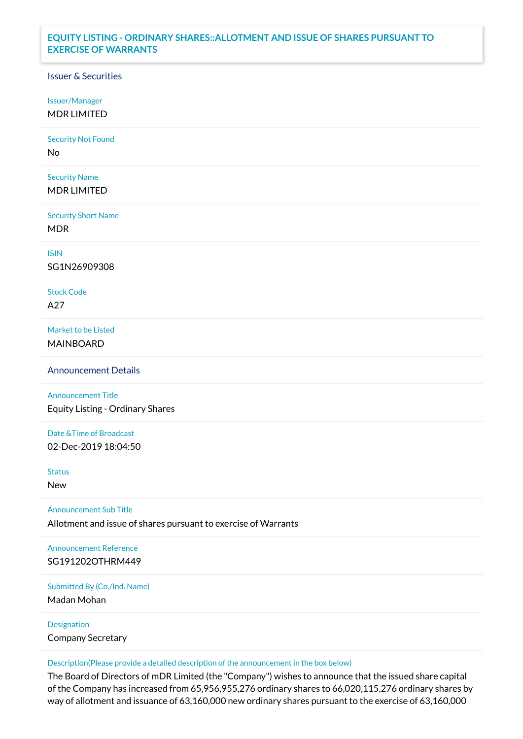## **EQUITY LISTING - ORDINARY SHARES::ALLOTMENT AND ISSUE OF SHARES PURSUANT TO EXERCISE OF WARRANTS**

## Issuer & Securities

Issuer/Manager

MDR LIMITED

Security Not Found

No

Security Name MDR LIMITED

Security Short Name MDR

ISIN

SG1N26909308

Stock Code A27

Market to be Listed MAINBOARD

Announcement Details

Announcement Title Equity Listing - Ordinary Shares

Date &Time of Broadcast 02-Dec-2019 18:04:50

Status

New

Announcement Sub Title

Allotment and issue of shares pursuant to exercise of Warrants

Announcement Reference SG191202OTHRM449

Submitted By (Co./Ind. Name)

Madan Mohan

Designation Company Secretary

Description(Please provide a detailed description of the announcement in the box below)

The Board of Directors of mDR Limited (the "Company") wishes to announce that the issued share capital of the Company has increased from 65,956,955,276 ordinary shares to 66,020,115,276 ordinary shares by way of allotment and issuance of 63,160,000 new ordinary shares pursuant to the exercise of 63,160,000